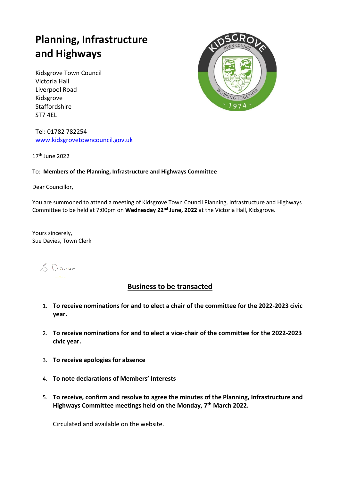# **Planning, Infrastructure and Highways**

Kidsgrove Town Council Victoria Hall Liverpool Road Kidsgrove Staffordshire ST7 4EL



Tel: 01782 782254 [www.kidsgrovetowncouncil.gov.uk](http://www.kidsgrovetowncouncil.gov.uk/)

17th June 2022

#### To: **Members of the Planning, Infrastructure and Highways Committee**

Dear Councillor,

You are summoned to attend a meeting of Kidsgrove Town Council Planning, Infrastructure and Highways Committee to be held at 7:00pm on **Wednesday 22nd June, 2022** at the Victoria Hall, Kidsgrove.

Yours sincerely, Sue Davies, Town Clerk

& Davies

# **Business to be transacted**

- 1. **To receive nominations for and to elect a chair of the committee for the 2022-2023 civic year.**
- 2. **To receive nominations for and to elect a vice-chair of the committee for the 2022-2023 civic year.**
- 3. **To receive apologies for absence**
- 4. **To note declarations of Members' Interests**
- 5. **To receive, confirm and resolve to agree the minutes of the Planning, Infrastructure and Highways Committee meetings held on the Monday, 7th March 2022.**

Circulated and available on the website.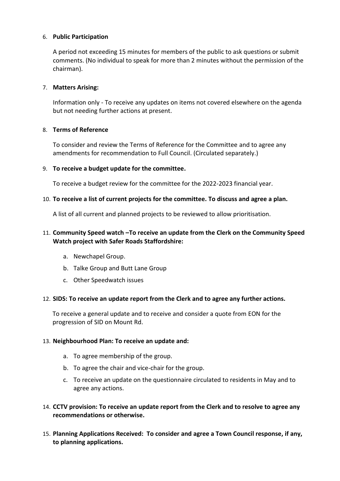# 6. **Public Participation**

A period not exceeding 15 minutes for members of the public to ask questions or submit comments. (No individual to speak for more than 2 minutes without the permission of the chairman).

# 7. **Matters Arising:**

Information only - To receive any updates on items not covered elsewhere on the agenda but not needing further actions at present.

# 8. **Terms of Reference**

To consider and review the Terms of Reference for the Committee and to agree any amendments for recommendation to Full Council. (Circulated separately.)

# 9. **To receive a budget update for the committee.**

To receive a budget review for the committee for the 2022-2023 financial year.

#### 10. **To receive a list of current projects for the committee. To discuss and agree a plan.**

A list of all current and planned projects to be reviewed to allow prioritisation.

# 11. **Community Speed watch –To receive an update from the Clerk on the Community Speed Watch project with Safer Roads Staffordshire:**

- a. Newchapel Group.
- b. Talke Group and Butt Lane Group
- c. Other Speedwatch issues

#### 12. **SIDS: To receive an update report from the Clerk and to agree any further actions.**

To receive a general update and to receive and consider a quote from EON for the progression of SID on Mount Rd.

#### 13. **Neighbourhood Plan: To receive an update and:**

- a. To agree membership of the group.
- b. To agree the chair and vice-chair for the group.
- c. To receive an update on the questionnaire circulated to residents in May and to agree any actions.
- 14. **CCTV provision: To receive an update report from the Clerk and to resolve to agree any recommendations or otherwise.**
- 15. **Planning Applications Received: To consider and agree a Town Council response, if any, to planning applications.**